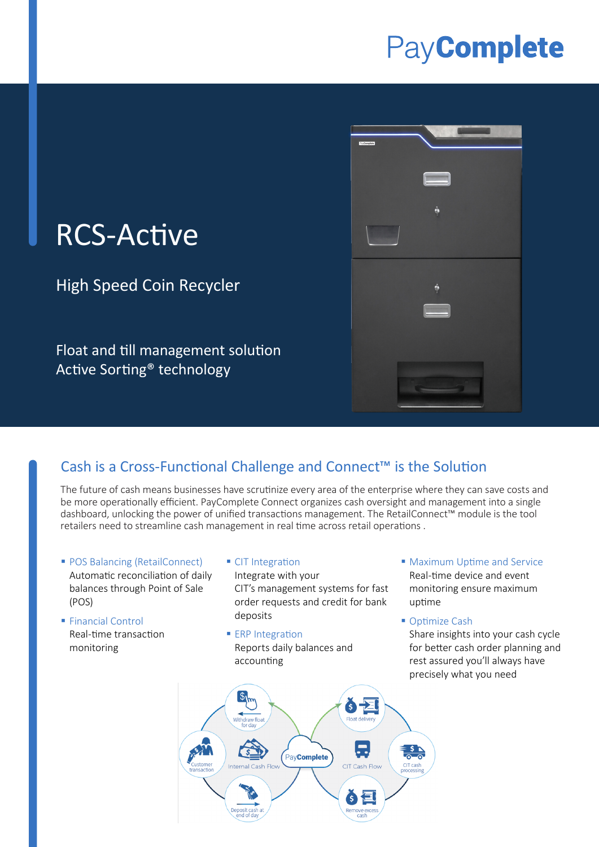# PayComplete



# RCS-Active

High Speed Coin Recycler

Float and till management solution Active Sorting® technology

## Cash is a Cross-Functional Challenge and Connect™ is the Solution

The future of cash means businesses have scrutinize every area of the enterprise where they can save costs and be more operationally efficient. PayComplete Connect organizes cash oversight and management into a single dashboard, unlocking the power of unified transactions management. The RetailConnect™ module is the tool retailers need to streamline cash management in real time across retail operations .

- **POS Balancing (RetailConnect)** Automatic reconciliation of daily balances through Point of Sale (POS)
- **Financial Control** Real-time transaction monitoring
- **CIT Integration** Integrate with your CIT's management systems for fast

order requests and credit for bank deposits

- **ERP Integration** Reports daily balances and accounting
- **Maximum Uptime and Service** Real-time device and event monitoring ensure maximum uptime
- Optimize Cash

Share insights into your cash cycle for better cash order planning and rest assured you'll always have precisely what you need